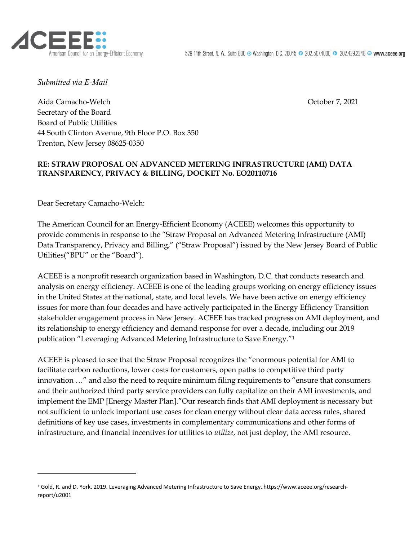

*Submitted via E-Mail*

Aida Camacho-Welch **October 7, 2021** Secretary of the Board Board of Public Utilities 44 South Clinton Avenue, 9th Floor P.O. Box 350 Trenton, New Jersey 08625-0350

## **RE: STRAW PROPOSAL ON ADVANCED METERING INFRASTRUCTURE (AMI) DATA TRANSPARENCY, PRIVACY & BILLING, DOCKET No. EO20110716**

Dear Secretary Camacho-Welch:

The American Council for an Energy-Efficient Economy (ACEEE) welcomes this opportunity to provide comments in response to the "Straw Proposal on Advanced Metering Infrastructure (AMI) Data Transparency, Privacy and Billing," ("Straw Proposal") issued by the New Jersey Board of Public Utilities("BPU" or the "Board").

ACEEE is a nonprofit research organization based in Washington, D.C. that conducts research and analysis on energy efficiency. ACEEE is one of the leading groups working on energy efficiency issues in the United States at the national, state, and local levels. We have been active on energy efficiency issues for more than four decades and have actively participated in the Energy Efficiency Transition stakeholder engagement process in New Jersey. ACEEE has tracked progress on AMI deployment, and its relationship to energy efficiency and demand response for over a decade, including our 2019 publication "Leveraging Advanced Metering Infrastructure to Save Energy."1

ACEEE is pleased to see that the Straw Proposal recognizes the "enormous potential for AMI to facilitate carbon reductions, lower costs for customers, open paths to competitive third party innovation …" and also the need to require minimum filing requirements to "ensure that consumers and their authorized third party service providers can fully capitalize on their AMI investments, and implement the EMP [Energy Master Plan]."Our research finds that AMI deployment is necessary but not sufficient to unlock important use cases for clean energy without clear data access rules, shared definitions of key use cases, investments in complementary communications and other forms of infrastructure, and financial incentives for utilities to *utilize*, not just deploy, the AMI resource.

<sup>1</sup> Gold, R. and D. York. 2019. Leveraging Advanced Metering Infrastructure to Save Energy. https://www.aceee.org/researchreport/u2001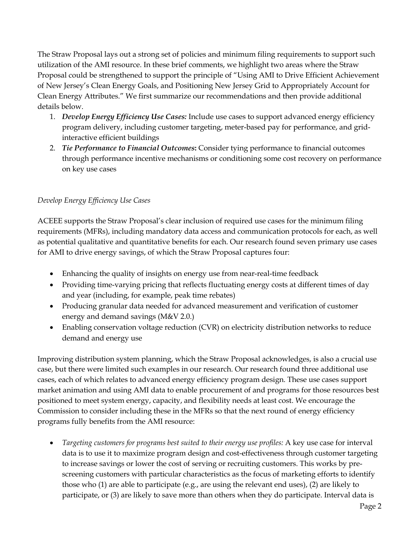The Straw Proposal lays out a strong set of policies and minimum filing requirements to support such utilization of the AMI resource. In these brief comments, we highlight two areas where the Straw Proposal could be strengthened to support the principle of "Using AMI to Drive Efficient Achievement of New Jersey's Clean Energy Goals, and Positioning New Jersey Grid to Appropriately Account for Clean Energy Attributes." We first summarize our recommendations and then provide additional details below.

- 1. *Develop Energy Efficiency Use Cases:* Include use cases to support advanced energy efficiency program delivery, including customer targeting, meter-based pay for performance, and gridinteractive efficient buildings
- 2. *Tie Performance to Financial Outcomes***:** Consider tying performance to financial outcomes through performance incentive mechanisms or conditioning some cost recovery on performance on key use cases

## *Develop Energy Efficiency Use Cases*

ACEEE supports the Straw Proposal's clear inclusion of required use cases for the minimum filing requirements (MFRs), including mandatory data access and communication protocols for each, as well as potential qualitative and quantitative benefits for each. Our research found seven primary use cases for AMI to drive energy savings, of which the Straw Proposal captures four:

- Enhancing the quality of insights on energy use from near-real-time feedback
- Providing time-varying pricing that reflects fluctuating energy costs at different times of day and year (including, for example, peak time rebates)
- Producing granular data needed for advanced measurement and verification of customer energy and demand savings (M&V 2.0.)
- Enabling conservation voltage reduction (CVR) on electricity distribution networks to reduce demand and energy use

Improving distribution system planning, which the Straw Proposal acknowledges, is also a crucial use case, but there were limited such examples in our research. Our research found three additional use cases, each of which relates to advanced energy efficiency program design. These use cases support market animation and using AMI data to enable procurement of and programs for those resources best positioned to meet system energy, capacity, and flexibility needs at least cost. We encourage the Commission to consider including these in the MFRs so that the next round of energy efficiency programs fully benefits from the AMI resource:

• *Targeting customers for programs best suited to their energy use profiles:* A key use case for interval data is to use it to maximize program design and cost-effectiveness through customer targeting to increase savings or lower the cost of serving or recruiting customers. This works by prescreening customers with particular characteristics as the focus of marketing efforts to identify those who (1) are able to participate (e.g., are using the relevant end uses), (2) are likely to participate, or (3) are likely to save more than others when they do participate. Interval data is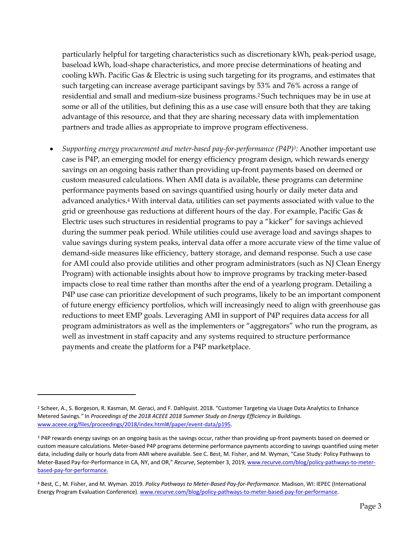particularly helpful for targeting characteristics such as discretionary kWh, peak-period usage, baseload kWh, load-shape characteristics, and more precise determinations of heating and cooling kWh. Pacific Gas & Electric is using such targeting for its programs, and estimates that such targeting can increase average participant savings by 53% and 76% across a range of residential and small and medium-size business programs.2 Such techniques may be in use at some or all of the utilities, but defining this as a use case will ensure both that they are taking advantage of this resource, and that they are sharing necessary data with implementation partners and trade allies as appropriate to improve program effectiveness.

• *Supporting energy procurement and meter-based pay-for-performance (P4P)3:* Another important use case is P4P, an emerging model for energy efficiency program design, which rewards energy savings on an ongoing basis rather than providing up-front payments based on deemed or custom measured calculations. When AMI data is available, these programs can determine performance payments based on savings quantified using hourly or daily meter data and advanced analytics.4 With interval data, utilities can set payments associated with value to the grid or greenhouse gas reductions at different hours of the day. For example, Pacific Gas & Electric uses such structures in residential programs to pay a "kicker" for savings achieved during the summer peak period. While utilities could use average load and savings shapes to value savings during system peaks, interval data offer a more accurate view of the time value of demand-side measures like efficiency, battery storage, and demand response. Such a use case for AMI could also provide utilities and other program administrators (such as NJ Clean Energy Program) with actionable insights about how to improve programs by tracking meter-based impacts close to real time rather than months after the end of a yearlong program. Detailing a P4P use case can prioritize development of such programs, likely to be an important component of future energy efficiency portfolios, which will increasingly need to align with greenhouse gas reductions to meet EMP goals. Leveraging AMI in support of P4P requires data access for all program administrators as well as the implementers or "aggregators" who run the program, as well as investment in staff capacity and any systems required to structure performance payments and create the platform for a P4P marketplace.

<sup>&</sup>lt;sup>2</sup> Scheer, A., S. Borgeson, R. Kasman, M. Geraci, and F. Dahlquist. 2018. "Customer Targeting via Usage Data Analytics to Enhance Metered Savings*."* In *Proceedings of the 2018 ACEEE 2018 Summer Study on Energy Efficiency in Buildings*. www.aceee.org/files/proceedings/2018/index.html#/paper/event-data/p195.

<sup>&</sup>lt;sup>3</sup> P4P rewards energy savings on an ongoing basis as the savings occur, rather than providing up-front payments based on deemed or custom measure calculations. Meter-based P4P programs determine performance payments according to savings quantified using meter data, including daily or hourly data from AMI where available. See C. Best, M. Fisher, and M. Wyman, "Case Study: Policy Pathways to Meter-Based Pay-for-Performance in CA, NY, and OR," *Recurve*, September 3, 2019, www.recurve.com/blog/policy-pathways-to-meterbased-pay-for-performance.

<sup>4</sup> Best, C., M. Fisher, and M. Wyman. 2019. *Policy Pathways to Meter-Based Pay-for-Performance.* Madison, WI: IEPEC (International Energy Program Evaluation Conference). www.recurve.com/blog/policy-pathways-to-meter-based-pay-for-performance.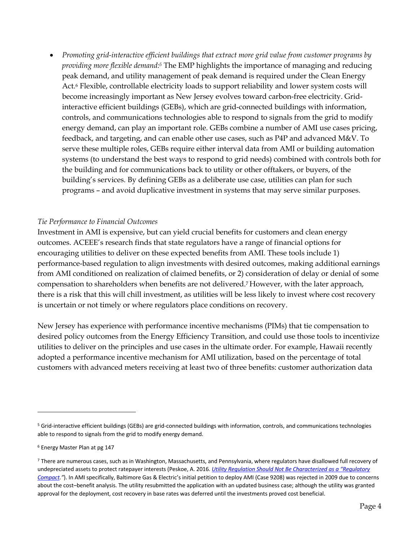• *Promoting grid-interactive efficient buildings that extract more grid value from customer programs by providing more flexible demand:5* The EMP highlights the importance of managing and reducing peak demand, and utility management of peak demand is required under the Clean Energy Act.6 Flexible, controllable electricity loads to support reliability and lower system costs will become increasingly important as New Jersey evolves toward carbon-free electricity. Gridinteractive efficient buildings (GEBs), which are grid-connected buildings with information, controls, and communications technologies able to respond to signals from the grid to modify energy demand, can play an important role. GEBs combine a number of AMI use cases pricing, feedback, and targeting, and can enable other use cases, such as P4P and advanced M&V. To serve these multiple roles, GEBs require either interval data from AMI or building automation systems (to understand the best ways to respond to grid needs) combined with controls both for the building and for communications back to utility or other offtakers, or buyers, of the building's services. By defining GEBs as a deliberate use case, utilities can plan for such programs – and avoid duplicative investment in systems that may serve similar purposes.

## *Tie Performance to Financial Outcomes*

Investment in AMI is expensive, but can yield crucial benefits for customers and clean energy outcomes. ACEEE's research finds that state regulators have a range of financial options for encouraging utilities to deliver on these expected benefits from AMI. These tools include 1) performance-based regulation to align investments with desired outcomes, making additional earnings from AMI conditioned on realization of claimed benefits, or 2) consideration of delay or denial of some compensation to shareholders when benefits are not delivered.7 However, with the later approach, there is a risk that this will chill investment, as utilities will be less likely to invest where cost recovery is uncertain or not timely or where regulators place conditions on recovery.

New Jersey has experience with performance incentive mechanisms (PIMs) that tie compensation to desired policy outcomes from the Energy Efficiency Transition, and could use those tools to incentivize utilities to deliver on the principles and use cases in the ultimate order. For example, Hawaii recently adopted a performance incentive mechanism for AMI utilization, based on the percentage of total customers with advanced meters receiving at least two of three benefits: customer authorization data

<sup>5</sup> Grid-interactive efficient buildings (GEBs) are grid-connected buildings with information, controls, and communications technologies able to respond to signals from the grid to modify energy demand.

<sup>6</sup> Energy Master Plan at pg 147

<sup>7</sup> There are numerous cases, such as in Washington, Massachusetts, and Pennsylvania, where regulators have disallowed full recovery of undepreciated assets to protect ratepayer interests (Peskoe, A. 2016. *Utility Regulation Should Not Be Characterized as a "Regulatory Compact."*). In AMI specifically, Baltimore Gas & Electric's initial petition to deploy AMI (Case 9208) was rejected in 2009 due to concerns about the cost–benefit analysis. The utility resubmitted the application with an updated business case; although the utility was granted approval for the deployment, cost recovery in base rates was deferred until the investments proved cost beneficial.